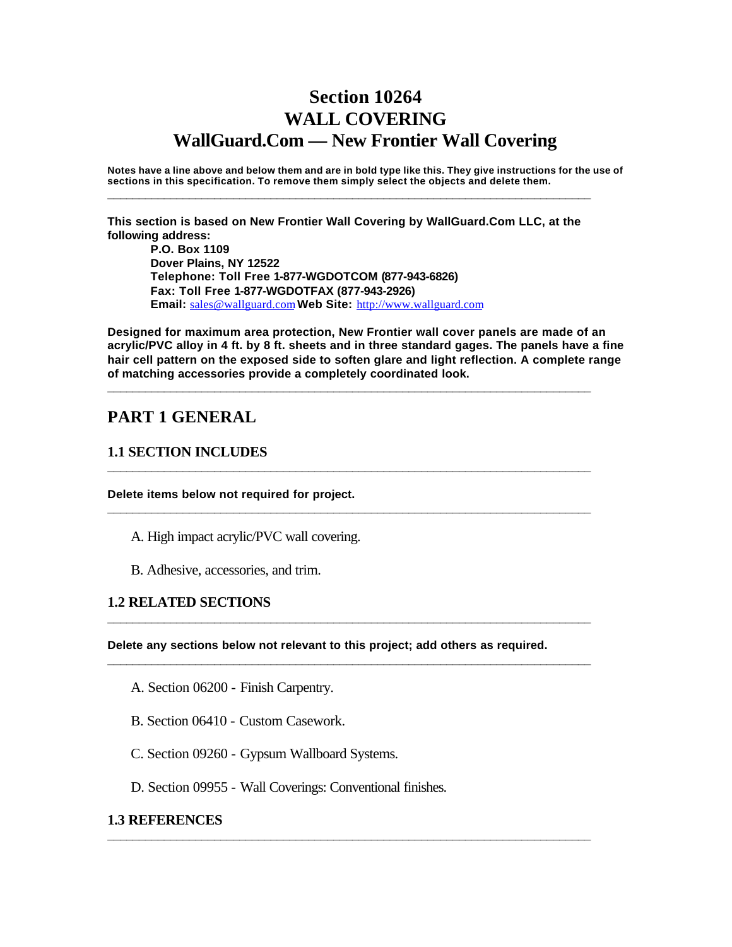# **Section 10264 WALL COVERING WallGuard.Com — New Frontier Wall Covering**

**Notes have a line above and below them and are in bold type like this. They give instructions for the use of sections in this specification. To remove them simply select the objects and delete them.**

**This section is based on New Frontier Wall Covering by WallGuard.Com LLC, at the following address:**

**\_\_\_\_\_\_\_\_\_\_\_\_\_\_\_\_\_\_\_\_\_\_\_\_\_\_\_\_\_\_\_\_\_\_\_\_\_\_\_\_\_\_\_\_\_\_\_\_\_\_\_\_\_\_\_\_\_\_\_\_\_\_\_\_\_\_\_\_\_\_\_\_\_\_\_\_\_**

**P.O. Box 1109 Dover Plains, NY 12522 Telephone: Toll Free 1-877-WGDOTCOM (877-943-6826) Fax: Toll Free 1-877-WGDOTFAX (877-943-2926) Email:** sales@wallguard.com **Web Site:** http://www.wallguard.com

**Designed for maximum area protection, New Frontier wall cover panels are made of an acrylic/PVC alloy in 4 ft. by 8 ft. sheets and in three standard gages. The panels have a fine hair cell pattern on the exposed side to soften glare and light reflection. A complete range of matching accessories provide a completely coordinated look.**

**\_\_\_\_\_\_\_\_\_\_\_\_\_\_\_\_\_\_\_\_\_\_\_\_\_\_\_\_\_\_\_\_\_\_\_\_\_\_\_\_\_\_\_\_\_\_\_\_\_\_\_\_\_\_\_\_\_\_\_\_\_\_\_\_\_\_\_\_\_\_\_\_\_\_\_\_\_**

**\_\_\_\_\_\_\_\_\_\_\_\_\_\_\_\_\_\_\_\_\_\_\_\_\_\_\_\_\_\_\_\_\_\_\_\_\_\_\_\_\_\_\_\_\_\_\_\_\_\_\_\_\_\_\_\_\_\_\_\_\_\_\_\_\_\_\_\_\_\_\_\_\_\_\_\_\_**

**\_\_\_\_\_\_\_\_\_\_\_\_\_\_\_\_\_\_\_\_\_\_\_\_\_\_\_\_\_\_\_\_\_\_\_\_\_\_\_\_\_\_\_\_\_\_\_\_\_\_\_\_\_\_\_\_\_\_\_\_\_\_\_\_\_\_\_\_\_\_\_\_\_\_\_\_\_**

**\_\_\_\_\_\_\_\_\_\_\_\_\_\_\_\_\_\_\_\_\_\_\_\_\_\_\_\_\_\_\_\_\_\_\_\_\_\_\_\_\_\_\_\_\_\_\_\_\_\_\_\_\_\_\_\_\_\_\_\_\_\_\_\_\_\_\_\_\_\_\_\_\_\_\_\_\_**

**\_\_\_\_\_\_\_\_\_\_\_\_\_\_\_\_\_\_\_\_\_\_\_\_\_\_\_\_\_\_\_\_\_\_\_\_\_\_\_\_\_\_\_\_\_\_\_\_\_\_\_\_\_\_\_\_\_\_\_\_\_\_\_\_\_\_\_\_\_\_\_\_\_\_\_\_\_**

**\_\_\_\_\_\_\_\_\_\_\_\_\_\_\_\_\_\_\_\_\_\_\_\_\_\_\_\_\_\_\_\_\_\_\_\_\_\_\_\_\_\_\_\_\_\_\_\_\_\_\_\_\_\_\_\_\_\_\_\_\_\_\_\_\_\_\_\_\_\_\_\_\_\_\_\_\_**

## **PART 1 GENERAL**

#### **1.1 SECTION INCLUDES**

**Delete items below not required for project.**

- A. High impact acrylic/PVC wall covering.
- B. Adhesive, accessories, and trim.

#### **1.2 RELATED SECTIONS**

**Delete any sections below not relevant to this project; add others as required.** 

- A. Section 06200 Finish Carpentry.
- B. Section 06410 Custom Casework.
- C. Section 09260 Gypsum Wallboard Systems.
- D. Section 09955 Wall Coverings: Conventional finishes.

#### **1.3 REFERENCES**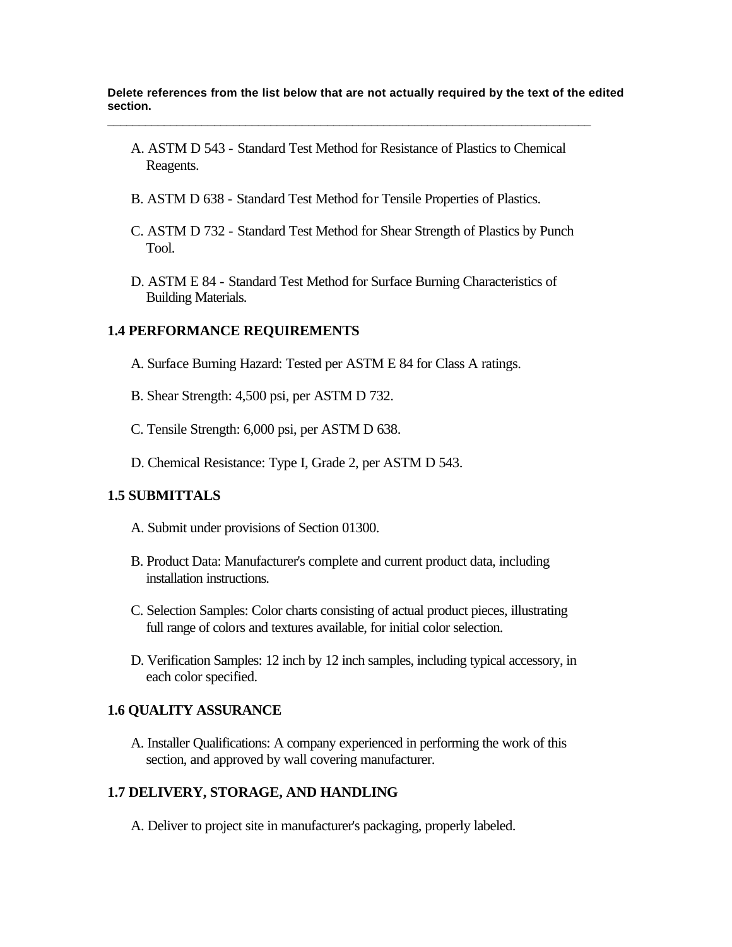**Delete references from the list below that are not actually required by the text of the edited section.**

A. ASTM D 543 - Standard Test Method for Resistance of Plastics to Chemical Reagents.

**\_\_\_\_\_\_\_\_\_\_\_\_\_\_\_\_\_\_\_\_\_\_\_\_\_\_\_\_\_\_\_\_\_\_\_\_\_\_\_\_\_\_\_\_\_\_\_\_\_\_\_\_\_\_\_\_\_\_\_\_\_\_\_\_\_\_\_\_\_\_\_\_\_\_\_\_\_**

- B. ASTM D 638 Standard Test Method for Tensile Properties of Plastics.
- C. ASTM D 732 Standard Test Method for Shear Strength of Plastics by Punch Tool.
- D. ASTM E 84 Standard Test Method for Surface Burning Characteristics of Building Materials.

#### **1.4 PERFORMANCE REQUIREMENTS**

- A. Surface Burning Hazard: Tested per ASTM E 84 for Class A ratings.
- B. Shear Strength: 4,500 psi, per ASTM D 732.
- C. Tensile Strength: 6,000 psi, per ASTM D 638.
- D. Chemical Resistance: Type I, Grade 2, per ASTM D 543.

#### **1.5 SUBMITTALS**

- A. Submit under provisions of Section 01300.
- B. Product Data: Manufacturer's complete and current product data, including installation instructions.
- C. Selection Samples: Color charts consisting of actual product pieces, illustrating full range of colors and textures available, for initial color selection.
- D. Verification Samples: 12 inch by 12 inch samples, including typical accessory, in each color specified.

#### **1.6 QUALITY ASSURANCE**

A. Installer Qualifications: A company experienced in performing the work of this section, and approved by wall covering manufacturer.

#### **1.7 DELIVERY, STORAGE, AND HANDLING**

A. Deliver to project site in manufacturer's packaging, properly labeled.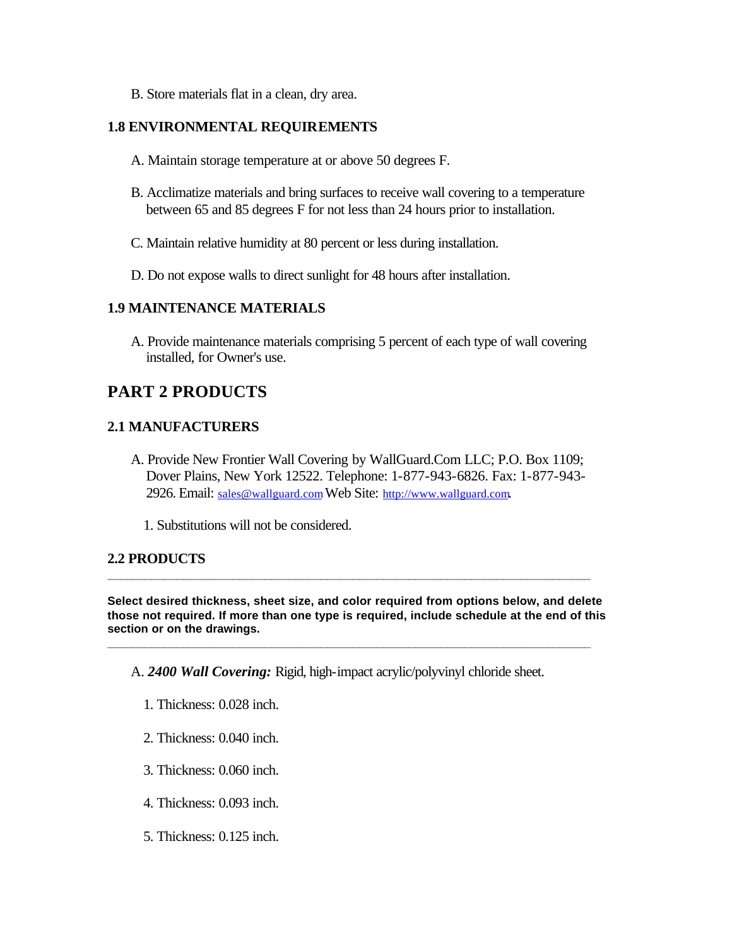B. Store materials flat in a clean, dry area.

#### **1.8 ENVIRONMENTAL REQUIREMENTS**

- A. Maintain storage temperature at or above 50 degrees F.
- B. Acclimatize materials and bring surfaces to receive wall covering to a temperature between 65 and 85 degrees F for not less than 24 hours prior to installation.
- C. Maintain relative humidity at 80 percent or less during installation.
- D. Do not expose walls to direct sunlight for 48 hours after installation.

### **1.9 MAINTENANCE MATERIALS**

A. Provide maintenance materials comprising 5 percent of each type of wall covering installed, for Owner's use.

## **PART 2 PRODUCTS**

## **2.1 MANUFACTURERS**

- A. Provide New Frontier Wall Covering by WallGuard.Com LLC; P.O. Box 1109; Dover Plains, New York 12522. Telephone: 1-877-943-6826. Fax: 1-877-943- 2926. Email: sales@wallguard.com Web Site: http://www.wallguard.com.
	- 1. Substitutions will not be considered.

## **2.2 PRODUCTS**

**Select desired thickness, sheet size, and color required from options below, and delete those not required. If more than one type is required, include schedule at the end of this section or on the drawings.**

**\_\_\_\_\_\_\_\_\_\_\_\_\_\_\_\_\_\_\_\_\_\_\_\_\_\_\_\_\_\_\_\_\_\_\_\_\_\_\_\_\_\_\_\_\_\_\_\_\_\_\_\_\_\_\_\_\_\_\_\_\_\_\_\_\_\_\_\_\_\_\_\_\_\_\_\_\_**

**\_\_\_\_\_\_\_\_\_\_\_\_\_\_\_\_\_\_\_\_\_\_\_\_\_\_\_\_\_\_\_\_\_\_\_\_\_\_\_\_\_\_\_\_\_\_\_\_\_\_\_\_\_\_\_\_\_\_\_\_\_\_\_\_\_\_\_\_\_\_\_\_\_\_\_\_\_**

A. *2400 Wall Covering:* Rigid, high-impact acrylic/polyvinyl chloride sheet.

- 1. Thickness: 0.028 inch.
- 2. Thickness: 0.040 inch.
- 3. Thickness: 0.060 inch.
- 4. Thickness: 0.093 inch.
- 5. Thickness: 0.125 inch.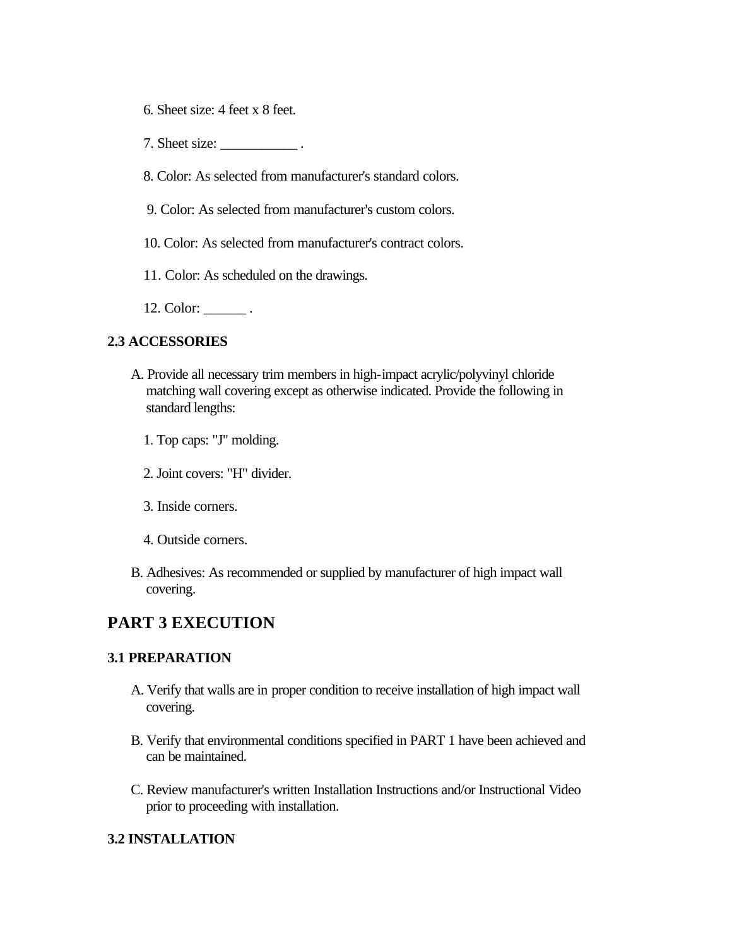- 6. Sheet size: 4 feet x 8 feet.
- 7. Sheet size: \_\_\_\_\_\_\_\_\_\_\_\_\_\_\_\_\_.
- 8. Color: As selected from manufacturer's standard colors.
- 9. Color: As selected from manufacturer's custom colors.
- 10. Color: As selected from manufacturer's contract colors.
- 11. Color: As scheduled on the drawings.
- 12. Color: \_\_\_\_\_\_\_\_.

#### **2.3 ACCESSORIES**

- A. Provide all necessary trim members in high-impact acrylic/polyvinyl chloride matching wall covering except as otherwise indicated. Provide the following in standard lengths:
	- 1. Top caps: "J" molding.
	- 2. Joint covers: "H" divider.
	- 3. Inside corners.
	- 4. Outside corners.
- B. Adhesives: As recommended or supplied by manufacturer of high impact wall covering.

## **PART 3 EXECUTION**

#### **3.1 PREPARATION**

- A. Verify that walls are in proper condition to receive installation of high impact wall covering.
- B. Verify that environmental conditions specified in PART 1 have been achieved and can be maintained.
- C. Review manufacturer's written Installation Instructions and/or Instructional Video prior to proceeding with installation.

#### **3.2 INSTALLATION**